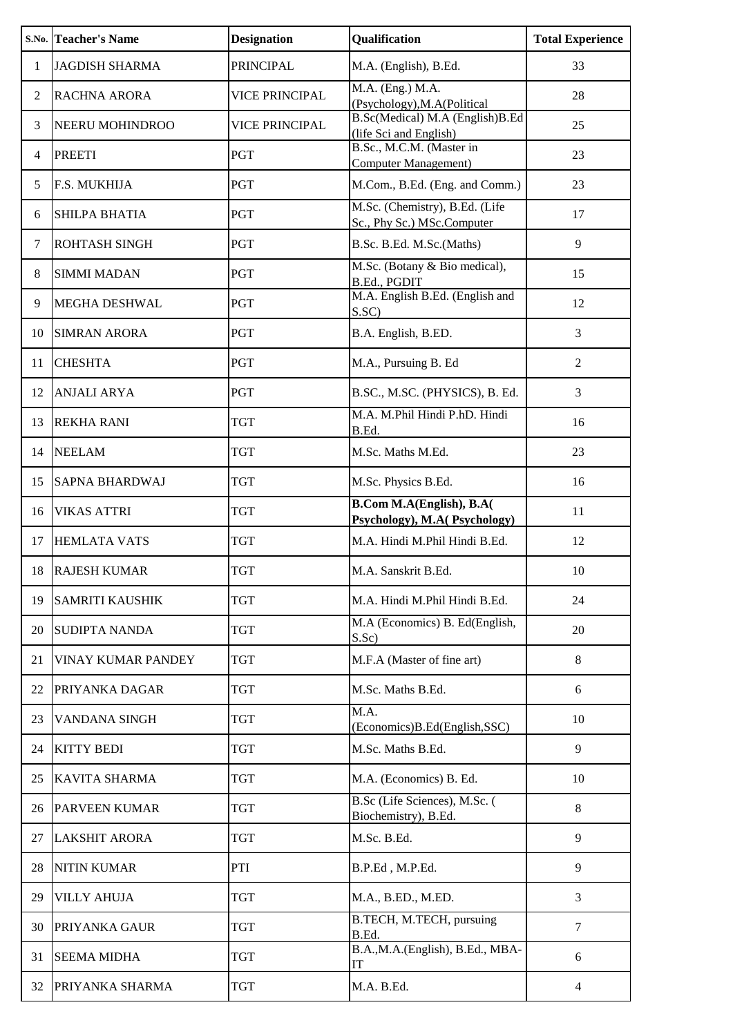|                | <b>S.No. Teacher's Name</b> | <b>Designation</b>    | Qualification                                                   | <b>Total Experience</b> |
|----------------|-----------------------------|-----------------------|-----------------------------------------------------------------|-------------------------|
| 1              | <b>JAGDISH SHARMA</b>       | <b>PRINCIPAL</b>      | M.A. (English), B.Ed.                                           | 33                      |
| 2              | <b>RACHNA ARORA</b>         | VICE PRINCIPAL        | M.A. (Eng.) M.A.<br>(Psychology), M.A (Political                | 28                      |
| 3              | NEERU MOHINDROO             | <b>VICE PRINCIPAL</b> | B.Sc(Medical) M.A (English)B.Ed<br>(life Sci and English)       | 25                      |
| $\overline{4}$ | <b>PREETI</b>               | PGT                   | B.Sc., M.C.M. (Master in<br><b>Computer Management</b> )        | 23                      |
| 5              | F.S. MUKHIJA                | PGT                   | M.Com., B.Ed. (Eng. and Comm.)                                  | 23                      |
| 6              | SHILPA BHATIA               | PGT                   | M.Sc. (Chemistry), B.Ed. (Life<br>Sc., Phy Sc.) MSc.Computer    | 17                      |
| $\tau$         | ROHTASH SINGH               | PGT                   | B.Sc. B.Ed. M.Sc.(Maths)                                        | 9                       |
| $\,8\,$        | <b>SIMMI MADAN</b>          | PGT                   | M.Sc. (Botany & Bio medical),<br>B.Ed., PGDIT                   | 15                      |
| 9              | MEGHA DESHWAL               | PGT                   | M.A. English B.Ed. (English and<br>S.SC)                        | 12                      |
| 10             | <b>SIMRAN ARORA</b>         | PGT                   | B.A. English, B.ED.                                             | 3                       |
| 11             | <b>CHESHTA</b>              | PGT                   | M.A., Pursuing B. Ed                                            | $\overline{2}$          |
| 12             | <b>ANJALI ARYA</b>          | PGT                   | B.SC., M.SC. (PHYSICS), B. Ed.                                  | 3                       |
| 13             | <b>REKHA RANI</b>           | <b>TGT</b>            | M.A. M.Phil Hindi P.hD. Hindi<br>B.Ed.                          | 16                      |
| 14             | <b>NEELAM</b>               | <b>TGT</b>            | M.Sc. Maths M.Ed.                                               | 23                      |
| 15             | <b>SAPNA BHARDWAJ</b>       | <b>TGT</b>            | M.Sc. Physics B.Ed.                                             | 16                      |
| 16             | <b>VIKAS ATTRI</b>          | <b>TGT</b>            | <b>B.Com M.A(English), B.A(</b><br>Psychology), M.A(Psychology) | 11                      |
| 17             | <b>HEMLATA VATS</b>         | <b>TGT</b>            | M.A. Hindi M.Phil Hindi B.Ed.                                   | 12                      |
| 18             | <b>RAJESH KUMAR</b>         | <b>TGT</b>            | M.A. Sanskrit B.Ed.                                             | 10                      |
| 19             | <b>SAMRITI KAUSHIK</b>      | TGT                   | M.A. Hindi M.Phil Hindi B.Ed.                                   | 24                      |
| 20             | <b>SUDIPTA NANDA</b>        | TGT                   | M.A (Economics) B. Ed(English,<br>S.Sc)                         | 20                      |
| 21             | <b>VINAY KUMAR PANDEY</b>   | TGT                   | M.F.A (Master of fine art)                                      | 8                       |
| 22             | PRIYANKA DAGAR              | <b>TGT</b>            | M.Sc. Maths B.Ed.                                               | 6                       |
| 23             | VANDANA SINGH               | <b>TGT</b>            | M.A.<br>(Economics)B.Ed(English,SSC)                            | 10                      |
| 24             | <b>KITTY BEDI</b>           | <b>TGT</b>            | M.Sc. Maths B.Ed.                                               | 9                       |
| 25             | <b>KAVITA SHARMA</b>        | <b>TGT</b>            | M.A. (Economics) B. Ed.                                         | 10                      |
| 26             | <b>PARVEEN KUMAR</b>        | <b>TGT</b>            | B.Sc (Life Sciences), M.Sc. (<br>Biochemistry), B.Ed.           | 8                       |
| 27             | <b>LAKSHIT ARORA</b>        | <b>TGT</b>            | M.Sc. B.Ed.                                                     | 9                       |
| 28             | <b>NITIN KUMAR</b>          | PTI                   | B.P.Ed, M.P.Ed.                                                 | 9                       |
| 29             | <b>VILLY AHUJA</b>          | <b>TGT</b>            | M.A., B.ED., M.ED.                                              | 3                       |
| 30             | PRIYANKA GAUR               | <b>TGT</b>            | B.TECH, M.TECH, pursuing<br>B.Ed.                               | $\tau$                  |
| 31             | <b>SEEMA MIDHA</b>          | <b>TGT</b>            | B.A., M.A. (English), B.Ed., MBA-<br>IT                         | 6                       |
| 32             | PRIYANKA SHARMA             | <b>TGT</b>            | M.A. B.Ed.                                                      | $\overline{4}$          |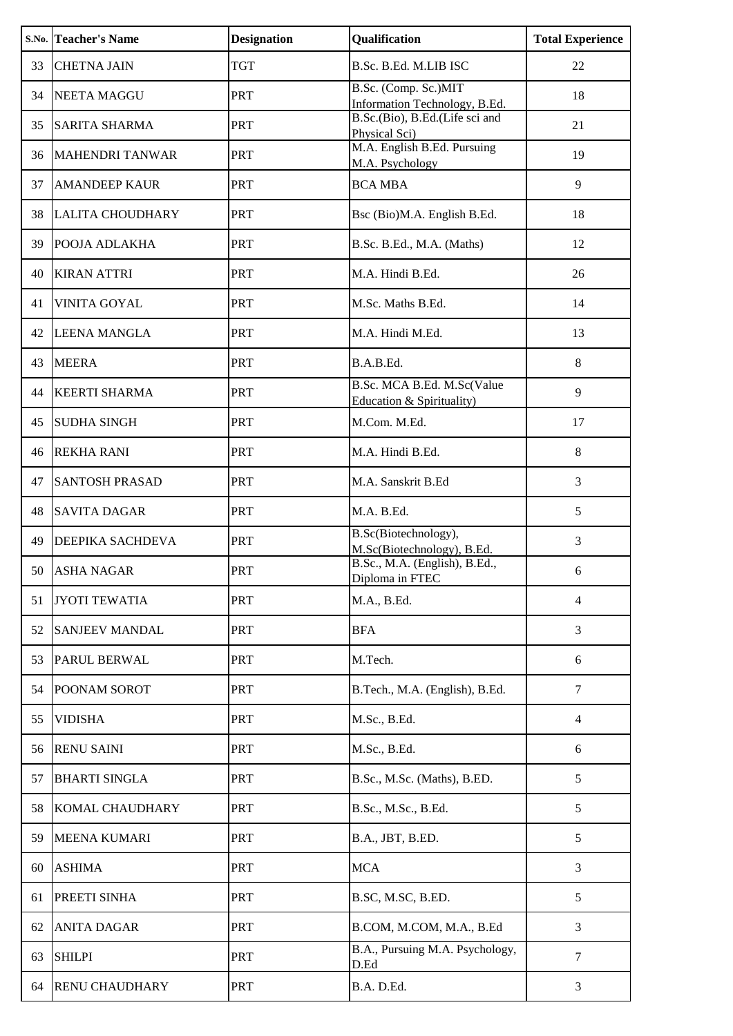|    | <b>S.No. Teacher's Name</b> | <b>Designation</b> | Qualification                                           | <b>Total Experience</b> |
|----|-----------------------------|--------------------|---------------------------------------------------------|-------------------------|
| 33 | <b>CHETNA JAIN</b>          | <b>TGT</b>         | B.Sc. B.Ed. M.LIB ISC                                   | 22                      |
| 34 | <b>NEETA MAGGU</b>          | <b>PRT</b>         | B.Sc. (Comp. Sc.)MIT<br>Information Technology, B.Ed.   | 18                      |
| 35 | <b>SARITA SHARMA</b>        | PRT                | B.Sc.(Bio), B.Ed.(Life sci and<br>Physical Sci)         | 21                      |
| 36 | <b>MAHENDRI TANWAR</b>      | PRT                | M.A. English B.Ed. Pursuing<br>M.A. Psychology          | 19                      |
| 37 | <b>AMANDEEP KAUR</b>        | PRT                | <b>BCA MBA</b>                                          | 9                       |
| 38 | <b>LALITA CHOUDHARY</b>     | <b>PRT</b>         | Bsc (Bio)M.A. English B.Ed.                             | 18                      |
| 39 | POOJA ADLAKHA               | PRT                | B.Sc. B.Ed., M.A. (Maths)                               | 12                      |
| 40 | <b>KIRAN ATTRI</b>          | PRT                | M.A. Hindi B.Ed.                                        | 26                      |
| 41 | <b>VINITA GOYAL</b>         | PRT                | M.Sc. Maths B.Ed.                                       | 14                      |
| 42 | <b>LEENA MANGLA</b>         | <b>PRT</b>         | M.A. Hindi M.Ed.                                        | 13                      |
| 43 | <b>MEERA</b>                | <b>PRT</b>         | B.A.B.Ed.                                               | 8                       |
| 44 | <b>KEERTI SHARMA</b>        | PRT                | B.Sc. MCA B.Ed. M.Sc(Value<br>Education & Spirituality) | 9                       |
| 45 | <b>SUDHA SINGH</b>          | <b>PRT</b>         | M.Com. M.Ed.                                            | 17                      |
| 46 | <b>REKHA RANI</b>           | PRT                | M.A. Hindi B.Ed.                                        | 8                       |
| 47 | <b>SANTOSH PRASAD</b>       | PRT                | M.A. Sanskrit B.Ed                                      | 3                       |
| 48 | <b>SAVITA DAGAR</b>         | <b>PRT</b>         | M.A. B.Ed.                                              | 5                       |
| 49 | DEEPIKA SACHDEVA            | <b>PRT</b>         | B.Sc(Biotechnology),<br>M.Sc(Biotechnology), B.Ed.      | 3                       |
| 50 | <b>ASHA NAGAR</b>           | <b>PRT</b>         | B.Sc., M.A. (English), B.Ed.,<br>Diploma in FTEC        | 6                       |
| 51 | <b>JYOTI TEWATIA</b>        | <b>PRT</b>         | M.A., B.Ed.                                             | $\overline{4}$          |
| 52 | <b>SANJEEV MANDAL</b>       | <b>PRT</b>         | <b>BFA</b>                                              | 3                       |
| 53 | <b>PARUL BERWAL</b>         | <b>PRT</b>         | M.Tech.                                                 | 6                       |
| 54 | POONAM SOROT                | <b>PRT</b>         | B.Tech., M.A. (English), B.Ed.                          | $\tau$                  |
| 55 | <b>VIDISHA</b>              | <b>PRT</b>         | M.Sc., B.Ed.                                            | $\overline{4}$          |
| 56 | <b>RENU SAINI</b>           | <b>PRT</b>         | M.Sc., B.Ed.                                            | 6                       |
| 57 | <b>BHARTI SINGLA</b>        | <b>PRT</b>         | B.Sc., M.Sc. (Maths), B.ED.                             | 5                       |
| 58 | KOMAL CHAUDHARY             | PRT                | B.Sc., M.Sc., B.Ed.                                     | 5                       |
| 59 | <b>MEENA KUMARI</b>         | <b>PRT</b>         | B.A., JBT, B.ED.                                        | 5                       |
| 60 | <b>ASHIMA</b>               | <b>PRT</b>         | <b>MCA</b>                                              | 3                       |
| 61 | PREETI SINHA                | <b>PRT</b>         | B.SC, M.SC, B.ED.                                       | 5                       |
| 62 | <b>ANITA DAGAR</b>          | <b>PRT</b>         | B.COM, M.COM, M.A., B.Ed                                | 3                       |
| 63 | <b>SHILPI</b>               | <b>PRT</b>         | B.A., Pursuing M.A. Psychology,<br>D.Ed                 | 7                       |
| 64 | <b>RENU CHAUDHARY</b>       | <b>PRT</b>         | B.A. D.Ed.                                              | $\mathfrak{Z}$          |